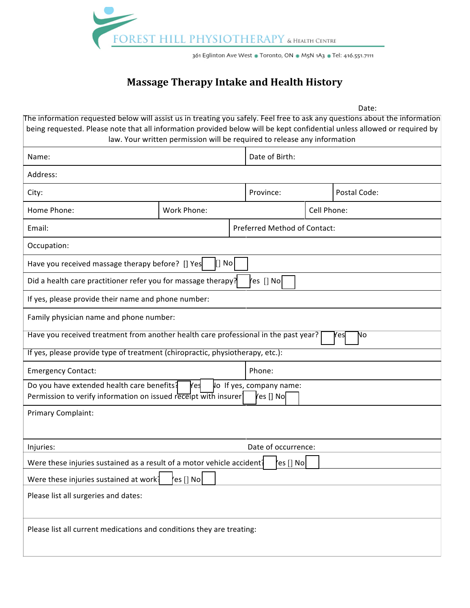

## **Massage Therapy Intake and Health History**

Date:

| The information requested below will assist us in treating you safely. Feel free to ask any questions about the information<br>being requested. Please note that all information provided below will be kept confidential unless allowed or required by | law. Your written permission will be required to release any information |  |                              |             |              |  |
|---------------------------------------------------------------------------------------------------------------------------------------------------------------------------------------------------------------------------------------------------------|--------------------------------------------------------------------------|--|------------------------------|-------------|--------------|--|
| Name:                                                                                                                                                                                                                                                   |                                                                          |  | Date of Birth:               |             |              |  |
| Address:                                                                                                                                                                                                                                                |                                                                          |  |                              |             |              |  |
| City:                                                                                                                                                                                                                                                   |                                                                          |  | Province:                    |             | Postal Code: |  |
| Home Phone:                                                                                                                                                                                                                                             | Work Phone:                                                              |  |                              | Cell Phone: |              |  |
| Email:                                                                                                                                                                                                                                                  |                                                                          |  | Preferred Method of Contact: |             |              |  |
| Occupation:                                                                                                                                                                                                                                             |                                                                          |  |                              |             |              |  |
| No<br>Have you received massage therapy before? [] Yes                                                                                                                                                                                                  |                                                                          |  |                              |             |              |  |
| Yes [] No<br>Did a health care practitioner refer you for massage therapy?                                                                                                                                                                              |                                                                          |  |                              |             |              |  |
| If yes, please provide their name and phone number:                                                                                                                                                                                                     |                                                                          |  |                              |             |              |  |
| Family physician name and phone number:                                                                                                                                                                                                                 |                                                                          |  |                              |             |              |  |
| Have you received treatment from another health care professional in the past year?<br>No<br>Yes                                                                                                                                                        |                                                                          |  |                              |             |              |  |
| If yes, please provide type of treatment (chiropractic, physiotherapy, etc.):                                                                                                                                                                           |                                                                          |  |                              |             |              |  |
| <b>Emergency Contact:</b>                                                                                                                                                                                                                               |                                                                          |  | Phone:                       |             |              |  |
| Do you have extended health care benefits?<br>Yes<br>lo If yes, company name:<br>Permission to verify information on issued receipt with insurer<br>res [] No                                                                                           |                                                                          |  |                              |             |              |  |
| Primary Complaint:                                                                                                                                                                                                                                      |                                                                          |  |                              |             |              |  |
| Injuries:                                                                                                                                                                                                                                               | Date of occurrence:                                                      |  |                              |             |              |  |
| Were these injuries sustained as a result of a motor vehicle accident?<br>'es [] No <b> </b>                                                                                                                                                            |                                                                          |  |                              |             |              |  |
| ∤es [] No <br>Were these injuries sustained at work?                                                                                                                                                                                                    |                                                                          |  |                              |             |              |  |
| Please list all surgeries and dates:                                                                                                                                                                                                                    |                                                                          |  |                              |             |              |  |
| Please list all current medications and conditions they are treating:                                                                                                                                                                                   |                                                                          |  |                              |             |              |  |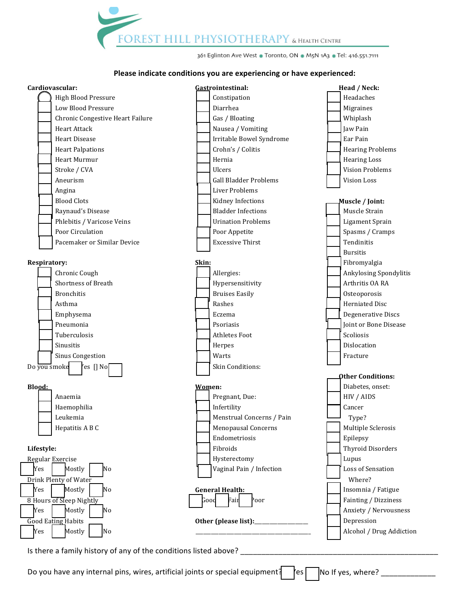FOREST HILL PHYSIOTHERAPY & HEALTH CENTRE

361 Eglinton Ave West . Toronto, ON . M5N 1A3 . Tel: 416.551.7111

#### Please indicate conditions you are experiencing or have experienced:



Is there a family history of any of the conditions listed above?

Do you have any internal pins, wires, artificial joints or special equipment? Yes-No If yes, where? \_\_\_\_\_\_\_\_\_\_\_\_\_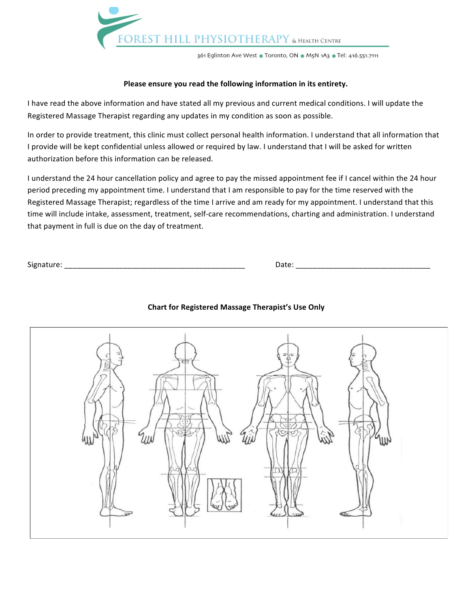

361 Eglinton Ave West . Toronto, ON . M5N 1A3 . Tel: 416.551.7111

#### Please ensure you read the following information in its entirety.

I have read the above information and have stated all my previous and current medical conditions. I will update the Registered Massage Therapist regarding any updates in my condition as soon as possible.

In order to provide treatment, this clinic must collect personal health information. I understand that all information that I provide will be kept confidential unless allowed or required by law. I understand that I will be asked for written authorization before this information can be released.

I understand the 24 hour cancellation policy and agree to pay the missed appointment fee if I cancel within the 24 hour period preceding my appointment time. I understand that I am responsible to pay for the time reserved with the Registered Massage Therapist; regardless of the time I arrive and am ready for my appointment. I understand that this time will include intake, assessment, treatment, self-care recommendations, charting and administration. I understand that payment in full is due on the day of treatment.

| Signature: |  |
|------------|--|
|            |  |

Signature: \_\_\_\_\_\_\_\_\_\_\_\_\_\_\_\_\_\_\_\_\_\_\_\_\_\_\_\_\_\_\_\_\_\_\_\_\_\_\_\_\_\_\_ Date: \_\_\_\_\_\_\_\_\_\_\_\_\_\_\_\_\_\_\_\_\_\_\_\_\_\_\_\_\_\_\_\_

### **Chart for Registered Massage Therapist's Use Only**